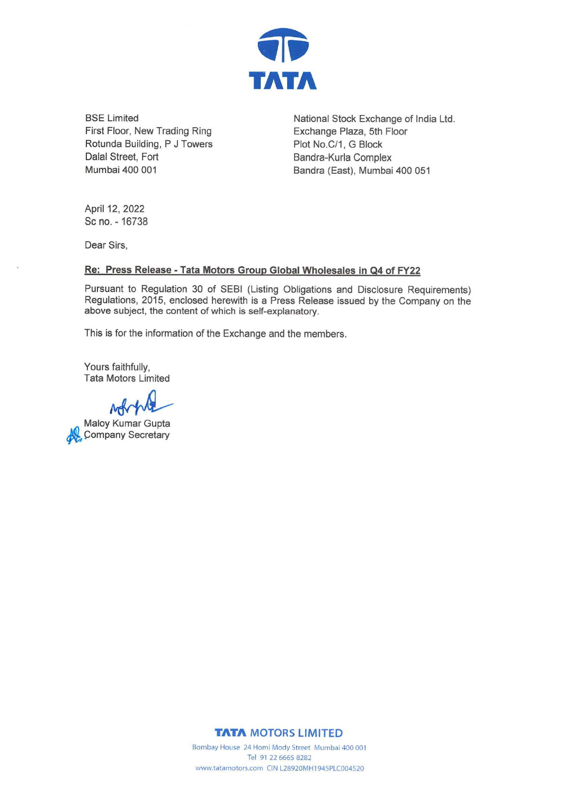

BSE Limited First Floor, New Trading Ring Rotunda Building, P J Towers Dalal Street, Fort Mumbai 400 001

National Stock Exchange of India Ltd. Exchange Plaza, 5th Floor Plot No.C/1, G Block Bandra-Kurla Complex Bandra (East), Mumbai 400 051

April 12, 2022 Sc no. - 16738

Dear Sirs,

## **Re: Press Release - Tata Motors Group Global Wholesales in Q4 of FY22**

Pursuant to Regulation 30 of SEBI (Listing Obligations and Disclosure Requirements) Regulations, 2015, enclosed herewith is a Press Release issued by the Company on the above subject, the content of which is self-explanatory.

This is for the information of the Exchange and the members.

Yours faithfully, Tata Motors Limited

**1')** Maloy Kumar Gupta *the Company Secretary* 

**TATA MOTORS LIMITED** 

Bombay House 24 Homi Mody Street Mumbai 400 001 Tel 91 22 6665 8282 www.tatamotors.com CIN L28920MH1945PLC004520